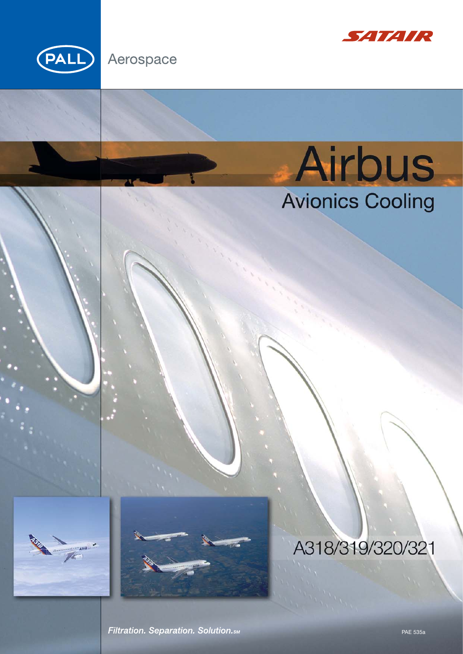

# Aerospace



# Airbus<br>Avionics Cooling



# A318/319/320/321

Filtration. Separation. Solution. SM

**PAE 535a**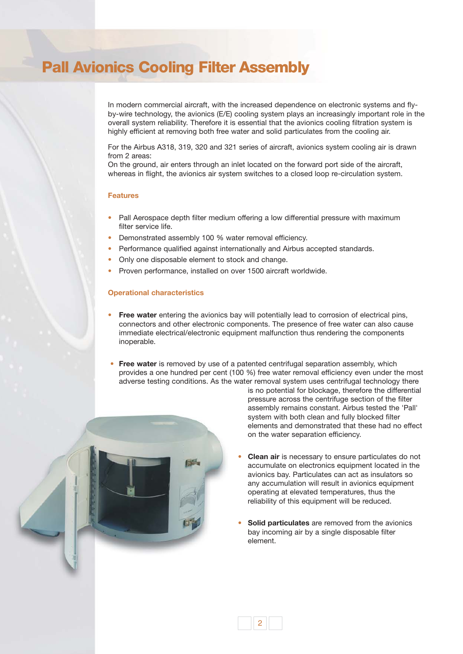# **Pall Avionics Cooling Filter Assembly**

In modern commercial aircraft, with the increased dependence on electronic systems and flyby-wire technology, the avionics (E/E) cooling system plays an increasingly important role in the overall system reliability. Therefore it is essential that the avionics cooling filtration system is highly efficient at removing both free water and solid particulates from the cooling air.

For the Airbus A318, 319, 320 and 321 series of aircraft, avionics system cooling air is drawn from 2 areas:

On the ground, air enters through an inlet located on the forward port side of the aircraft, whereas in flight, the avionics air system switches to a closed loop re-circulation system.

## **Features**

- Pall Aerospace depth filter medium offering a low differential pressure with maximum filter service life.
- Demonstrated assembly 100 % water removal efficiency.
- Performance qualified against internationally and Airbus accepted standards.
- Only one disposable element to stock and change.
- Proven performance, installed on over 1500 aircraft worldwide.

## **Operational characteristics**

- **Free water** entering the avionics bay will potentially lead to corrosion of electrical pins, connectors and other electronic components. The presence of free water can also cause immediate electrical/electronic equipment malfunction thus rendering the components inoperable.
- **Free water** is removed by use of a patented centrifugal separation assembly, which provides a one hundred per cent (100 %) free water removal efficiency even under the most adverse testing conditions. As the water removal system uses centrifugal technology there



is no potential for blockage, therefore the differential pressure across the centrifuge section of the filter assembly remains constant. Airbus tested the 'Pall' system with both clean and fully blocked filter elements and demonstrated that these had no effect on the water separation efficiency.

- **Clean air** is necessary to ensure particulates do not accumulate on electronics equipment located in the avionics bay. Particulates can act as insulators so any accumulation will result in avionics equipment operating at elevated temperatures, thus the reliability of this equipment will be reduced.
- **Solid particulates** are removed from the avionics bay incoming air by a single disposable filter element.

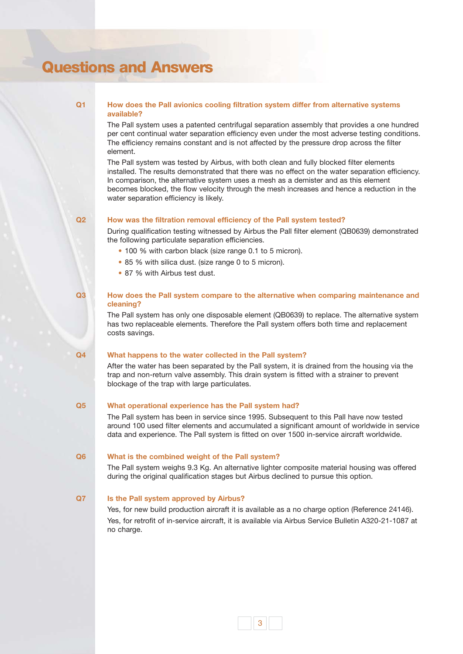# **Questions and Answers**

# **Q1**

**Q2**

# **How does the Pall avionics cooling filtration system differ from alternative systems available?**

The Pall system uses a patented centrifugal separation assembly that provides a one hundred per cent continual water separation efficiency even under the most adverse testing conditions. The efficiency remains constant and is not affected by the pressure drop across the filter element.

The Pall system was tested by Airbus, with both clean and fully blocked filter elements installed. The results demonstrated that there was no effect on the water separation efficiency. In comparison, the alternative system uses a mesh as a demister and as this element becomes blocked, the flow velocity through the mesh increases and hence a reduction in the water separation efficiency is likely.

# **How was the filtration removal efficiency of the Pall system tested?**

During qualification testing witnessed by Airbus the Pall filter element (QB0639) demonstrated the following particulate separation efficiencies.

- 100 % with carbon black (size range 0.1 to 5 micron).
- 85 % with silica dust. (size range 0 to 5 micron).
- 87 % with Airbus test dust.

### **How does the Pall system compare to the alternative when comparing maintenance and cleaning? Q3**

The Pall system has only one disposable element (QB0639) to replace. The alternative system has two replaceable elements. Therefore the Pall system offers both time and replacement costs savings.

#### **What happens to the water collected in the Pall system? Q4**

After the water has been separated by the Pall system, it is drained from the housing via the trap and non-return valve assembly. This drain system is fitted with a strainer to prevent blockage of the trap with large particulates.

#### **What operational experience has the Pall system had? Q5**

The Pall system has been in service since 1995. Subsequent to this Pall have now tested around 100 used filter elements and accumulated a significant amount of worldwide in service data and experience. The Pall system is fitted on over 1500 in-service aircraft worldwide.

#### **What is the combined weight of the Pall system? Q6**

The Pall system weighs 9.3 Kg. An alternative lighter composite material housing was offered during the original qualification stages but Airbus declined to pursue this option.

#### **Is the Pall system approved by Airbus? Q7**

Yes, for new build production aircraft it is available as a no charge option (Reference 24146). Yes, for retrofit of in-service aircraft, it is available via Airbus Service Bulletin A320-21-1087 at no charge.